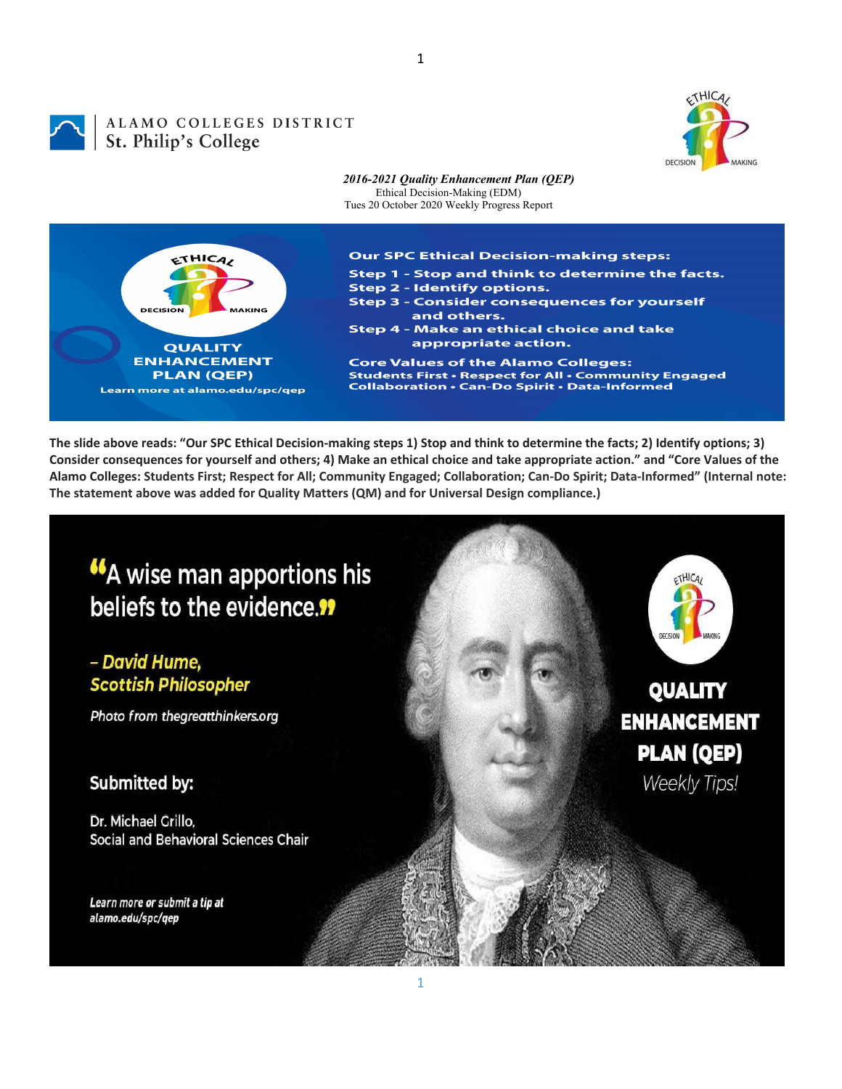

1

## ALAMO COLLEGES DISTRICT ALAMO COLLEGES St. Philip's College



The slide above reads: "Our SPC Ethical Decision-making steps 1) Stop and think to determine the facts; 2) Identify options; 3) Consider consequences for yourself and others; 4) Make an ethical choice and take appropriate action." and "Core Values of the Alamo Colleges: Students First; Respect for All; Community Engaged; Collaboration; Can-Do Spirit; Data-Informed" (Internal note: **The statement above was added for Quality Matters (QM) and for Universal Design compliance.)**

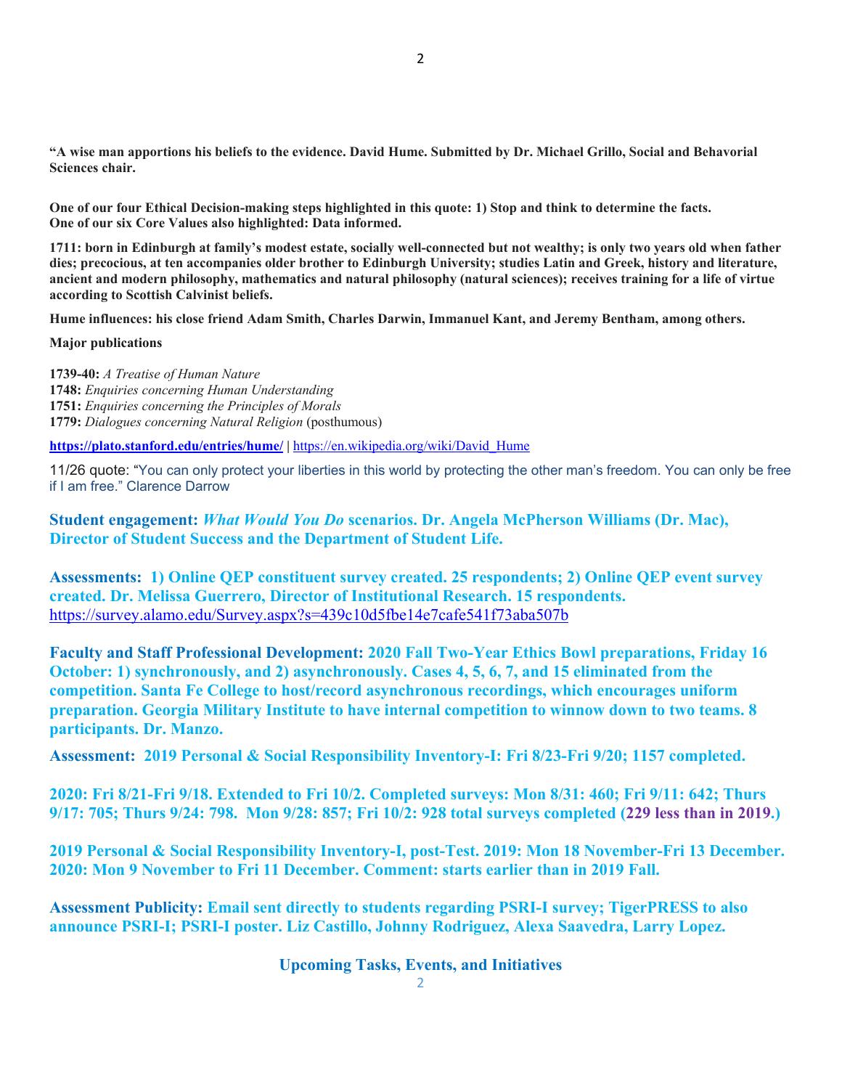**"A wise man apportions his beliefs to the evidence. David Hume. Submitted by Dr. Michael Grillo, Social and Behavorial Sciences chair.** 

**One of our four Ethical Decision-making steps highlighted in this quote: 1) Stop and think to determine the facts. One of our six Core Values also highlighted: Data informed.** 

**1711: born in Edinburgh at family's modest estate, socially well-connected but not wealthy; is only two years old when father dies; precocious, at ten accompanies older brother to Edinburgh University; studies Latin and Greek, history and literature, ancient and modern philosophy, mathematics and natural philosophy (natural sciences); receives training for a life of virtue according to Scottish Calvinist beliefs.** 

**Hume influences: his close friend Adam Smith, Charles Darwin, Immanuel Kant, and Jeremy Bentham, among others.** 

**Major publications**

**1739-40:** *A Treatise of Human Nature* **1748:** *Enquiries concerning Human Understanding* **1751:** *Enquiries concerning the Principles of Morals* **1779:** *Dialogues concerning Natural Religion* (posthumous)

**https://plato.stanford.edu/entries/hume/ |** https://en.wikipedia.org/wiki/David\_Hume

11/26 quote: "You can only protect your liberties in this world by protecting the other man's freedom. You can only be free if I am free." Clarence Darrow

**Student engagement:** *What Would You Do* **scenarios. Dr. Angela McPherson Williams (Dr. Mac), Director of Student Success and the Department of Student Life.** 

**Assessments: 1) Online QEP constituent survey created. 25 respondents; 2) Online QEP event survey created. Dr. Melissa Guerrero, Director of Institutional Research. 15 respondents.**  https://survey.alamo.edu/Survey.aspx?s=439c10d5fbe14e7cafe541f73aba507b

**Faculty and Staff Professional Development: 2020 Fall Two-Year Ethics Bowl preparations, Friday 16 October: 1) synchronously, and 2) asynchronously. Cases 4, 5, 6, 7, and 15 eliminated from the competition. Santa Fe College to host/record asynchronous recordings, which encourages uniform preparation. Georgia Military Institute to have internal competition to winnow down to two teams. 8 participants. Dr. Manzo.** 

**Assessment: 2019 Personal & Social Responsibility Inventory-I: Fri 8/23-Fri 9/20; 1157 completed.** 

**2020: Fri 8/21-Fri 9/18. Extended to Fri 10/2. Completed surveys: Mon 8/31: 460; Fri 9/11: 642; Thurs 9/17: 705; Thurs 9/24: 798. Mon 9/28: 857; Fri 10/2: 928 total surveys completed (229 less than in 2019.)** 

**2019 Personal & Social Responsibility Inventory-I, post-Test. 2019: Mon 18 November-Fri 13 December. 2020: Mon 9 November to Fri 11 December. Comment: starts earlier than in 2019 Fall.** 

**Assessment Publicity: Email sent directly to students regarding PSRI-I survey; TigerPRESS to also announce PSRI-I; PSRI-I poster. Liz Castillo, Johnny Rodriguez, Alexa Saavedra, Larry Lopez.** 

**Upcoming Tasks, Events, and Initiatives**